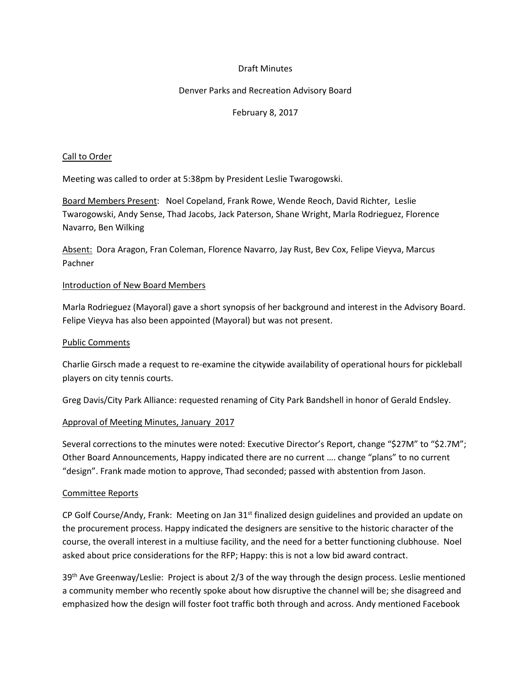## Draft Minutes

# Denver Parks and Recreation Advisory Board

# February 8, 2017

## Call to Order

Meeting was called to order at 5:38pm by President Leslie Twarogowski.

Board Members Present: Noel Copeland, Frank Rowe, Wende Reoch, David Richter, Leslie Twarogowski, Andy Sense, Thad Jacobs, Jack Paterson, Shane Wright, Marla Rodrieguez, Florence Navarro, Ben Wilking

Absent: Dora Aragon, Fran Coleman, Florence Navarro, Jay Rust, Bev Cox, Felipe Vieyva, Marcus Pachner

#### Introduction of New Board Members

Marla Rodrieguez (Mayoral) gave a short synopsis of her background and interest in the Advisory Board. Felipe Vieyva has also been appointed (Mayoral) but was not present.

#### Public Comments

Charlie Girsch made a request to re-examine the citywide availability of operational hours for pickleball players on city tennis courts.

Greg Davis/City Park Alliance: requested renaming of City Park Bandshell in honor of Gerald Endsley.

## Approval of Meeting Minutes, January 2017

Several corrections to the minutes were noted: Executive Director's Report, change "\$27M" to "\$2.7M"; Other Board Announcements, Happy indicated there are no current …. change "plans" to no current "design". Frank made motion to approve, Thad seconded; passed with abstention from Jason.

## Committee Reports

CP Golf Course/Andy, Frank: Meeting on Jan 31<sup>st</sup> finalized design guidelines and provided an update on the procurement process. Happy indicated the designers are sensitive to the historic character of the course, the overall interest in a multiuse facility, and the need for a better functioning clubhouse. Noel asked about price considerations for the RFP; Happy: this is not a low bid award contract.

39<sup>th</sup> Ave Greenway/Leslie: Project is about 2/3 of the way through the design process. Leslie mentioned a community member who recently spoke about how disruptive the channel will be; she disagreed and emphasized how the design will foster foot traffic both through and across. Andy mentioned Facebook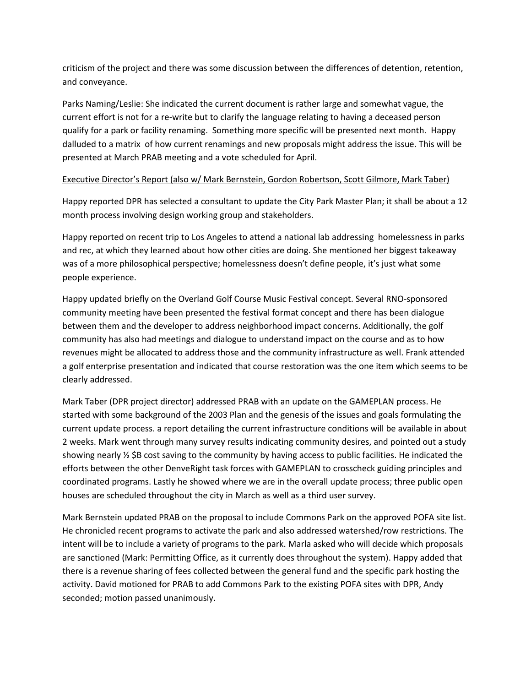criticism of the project and there was some discussion between the differences of detention, retention, and conveyance.

Parks Naming/Leslie: She indicated the current document is rather large and somewhat vague, the current effort is not for a re-write but to clarify the language relating to having a deceased person qualify for a park or facility renaming. Something more specific will be presented next month. Happy dalluded to a matrix of how current renamings and new proposals might address the issue. This will be presented at March PRAB meeting and a vote scheduled for April.

# Executive Director's Report (also w/ Mark Bernstein, Gordon Robertson, Scott Gilmore, Mark Taber)

Happy reported DPR has selected a consultant to update the City Park Master Plan; it shall be about a 12 month process involving design working group and stakeholders.

Happy reported on recent trip to Los Angeles to attend a national lab addressing homelessness in parks and rec, at which they learned about how other cities are doing. She mentioned her biggest takeaway was of a more philosophical perspective; homelessness doesn't define people, it's just what some people experience.

Happy updated briefly on the Overland Golf Course Music Festival concept. Several RNO-sponsored community meeting have been presented the festival format concept and there has been dialogue between them and the developer to address neighborhood impact concerns. Additionally, the golf community has also had meetings and dialogue to understand impact on the course and as to how revenues might be allocated to address those and the community infrastructure as well. Frank attended a golf enterprise presentation and indicated that course restoration was the one item which seems to be clearly addressed.

Mark Taber (DPR project director) addressed PRAB with an update on the GAMEPLAN process. He started with some background of the 2003 Plan and the genesis of the issues and goals formulating the current update process. a report detailing the current infrastructure conditions will be available in about 2 weeks. Mark went through many survey results indicating community desires, and pointed out a study showing nearly ½ \$B cost saving to the community by having access to public facilities. He indicated the efforts between the other DenveRight task forces with GAMEPLAN to crosscheck guiding principles and coordinated programs. Lastly he showed where we are in the overall update process; three public open houses are scheduled throughout the city in March as well as a third user survey.

Mark Bernstein updated PRAB on the proposal to include Commons Park on the approved POFA site list. He chronicled recent programs to activate the park and also addressed watershed/row restrictions. The intent will be to include a variety of programs to the park. Marla asked who will decide which proposals are sanctioned (Mark: Permitting Office, as it currently does throughout the system). Happy added that there is a revenue sharing of fees collected between the general fund and the specific park hosting the activity. David motioned for PRAB to add Commons Park to the existing POFA sites with DPR, Andy seconded; motion passed unanimously.